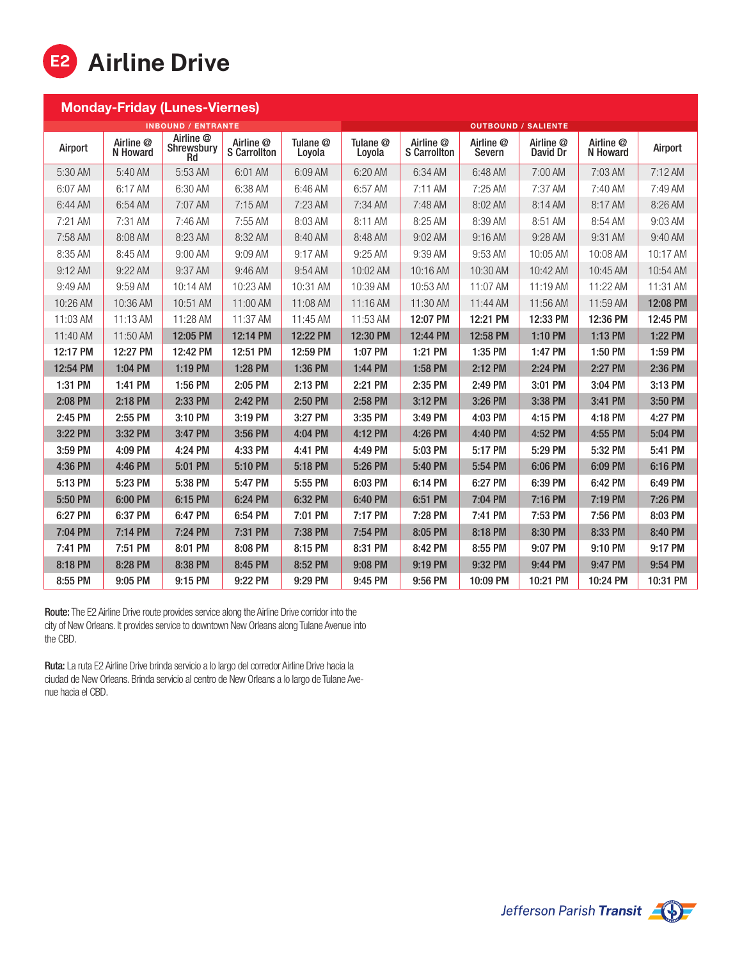

| <b>Monday-Friday (Lunes-Viernes)</b> |                       |                               |                                  |                    |                            |                                  |                     |                       |                       |          |  |
|--------------------------------------|-----------------------|-------------------------------|----------------------------------|--------------------|----------------------------|----------------------------------|---------------------|-----------------------|-----------------------|----------|--|
| <b>INBOUND / ENTRANTE</b>            |                       |                               |                                  |                    | <b>OUTBOUND / SALIENTE</b> |                                  |                     |                       |                       |          |  |
| Airport                              | Airline @<br>N Howard | Airline @<br>Shrewsbury<br>Rd | Airline @<br><b>S</b> Carrollton | Tulane @<br>Loyola | Tulane @<br>Loyola         | Airline @<br><b>S</b> Carrollton | Airline @<br>Severn | Airline @<br>David Dr | Airline @<br>N Howard | Airport  |  |
| 5:30 AM                              | $5:40$ AM             | 5:53 AM                       | 6:01 AM                          | 6:09 AM            | 6:20 AM                    | 6:34 AM                          | 6:48 AM             | 7:00 AM               | 7:03 AM               | 7:12AM   |  |
| 6:07 AM                              | 6:17 AM               | 6:30 AM                       | 6:38 AM                          | 6:46 AM            | 6:57 AM                    | $7:11$ AM                        | 7:25 AM             | 7:37 AM               | 7:40 AM               | 7:49 AM  |  |
| 6:44 AM                              | 6:54 AM               | 7:07 AM                       | $7:15$ AM                        | 7:23 AM            | 7:34 AM                    | 7:48 AM                          | 8:02 AM             | 8:14 AM               | 8:17 AM               | 8:26 AM  |  |
| 7:21 AM                              | 7:31 AM               | 7:46 AM                       | 7:55 AM                          | 8:03 AM            | 8:11 AM                    | 8:25 AM                          | 8:39 AM             | 8:51 AM               | 8:54 AM               | 9:03 AM  |  |
| 7:58 AM                              | 8:08 AM               | 8:23 AM                       | 8:32 AM                          | 8:40 AM            | 8:48 AM                    | 9:02 AM                          | 9:16 AM             | 9:28 AM               | 9:31 AM               | 9:40 AM  |  |
| 8:35 AM                              | 8:45 AM               | 9:00 AM                       | 9:09 AM                          | $9:17$ AM          | $9:25$ AM                  | 9:39 AM                          | 9:53 AM             | 10:05 AM              | 10:08 AM              | 10:17 AM |  |
| 9:12 AM                              | 9:22 AM               | 9:37 AM                       | 9:46 AM                          | 9:54 AM            | 10:02 AM                   | 10:16 AM                         | 10:30 AM            | 10:42 AM              | 10:45 AM              | 10:54 AM |  |
| 9:49 AM                              | 9:59 AM               | 10:14 AM                      | 10:23 AM                         | 10:31 AM           | 10:39 AM                   | 10:53 AM                         | 11:07 AM            | 11:19 AM              | 11:22 AM              | 11:31 AM |  |
| 10:26 AM                             | 10:36 AM              | 10:51 AM                      | 11:00 AM                         | 11:08 AM           | 11:16 AM                   | 11:30 AM                         | 11:44 AM            | 11:56 AM              | 11:59 AM              | 12:08 PM |  |
| 11:03 AM                             | 11:13 AM              | 11:28 AM                      | 11:37 AM                         | 11:45 AM           | 11:53 AM                   | 12:07 PM                         | 12:21 PM            | 12:33 PM              | 12:36 PM              | 12:45 PM |  |
| 11:40 AM                             | 11:50 AM              | 12:05 PM                      | 12:14 PM                         | 12:22 PM           | 12:30 PM                   | 12:44 PM                         | 12:58 PM            | 1:10 PM               | 1:13 PM               | 1:22 PM  |  |
| 12:17 PM                             | 12:27 PM              | 12:42 PM                      | 12:51 PM                         | 12:59 PM           | 1:07 PM                    | 1:21 PM                          | 1:35 PM             | 1:47 PM               | 1:50 PM               | 1:59 PM  |  |
| 12:54 PM                             | 1:04 PM               | 1:19 PM                       | 1:28 PM                          | 1:36 PM            | 1:44 PM                    | 1:58 PM                          | 2:12 PM             | 2:24 PM               | 2:27 PM               | 2:36 PM  |  |
| 1:31 PM                              | 1:41 PM               | 1:56 PM                       | 2:05 PM                          | 2:13 PM            | 2:21 PM                    | 2:35 PM                          | 2:49 PM             | 3:01 PM               | 3:04 PM               | 3:13 PM  |  |
| 2:08 PM                              | 2:18 PM               | 2:33 PM                       | 2:42 PM                          | 2:50 PM            | 2:58 PM                    | 3:12 PM                          | 3:26 PM             | 3:38 PM               | 3:41 PM               | 3:50 PM  |  |
| 2:45 PM                              | 2:55 PM               | 3:10 PM                       | 3:19 PM                          | 3:27 PM            | 3:35 PM                    | 3:49 PM                          | 4:03 PM             | 4:15 PM               | 4:18 PM               | 4:27 PM  |  |
| 3:22 PM                              | 3:32 PM               | 3:47 PM                       | 3:56 PM                          | 4:04 PM            | 4:12 PM                    | 4:26 PM                          | 4:40 PM             | 4:52 PM               | 4:55 PM               | 5:04 PM  |  |
| 3:59 PM                              | 4:09 PM               | 4:24 PM                       | 4:33 PM                          | 4:41 PM            | 4:49 PM                    | 5:03 PM                          | 5:17 PM             | 5:29 PM               | 5:32 PM               | 5:41 PM  |  |
| 4:36 PM                              | 4:46 PM               | 5:01 PM                       | 5:10 PM                          | 5:18 PM            | 5:26 PM                    | 5:40 PM                          | 5:54 PM             | 6:06 PM               | 6:09 PM               | 6:16 PM  |  |
| 5:13 PM                              | 5:23 PM               | 5:38 PM                       | 5:47 PM                          | 5:55 PM            | 6:03 PM                    | 6:14 PM                          | 6:27 PM             | 6:39 PM               | 6:42 PM               | 6:49 PM  |  |
| 5:50 PM                              | 6:00 PM               | 6:15 PM                       | 6:24 PM                          | 6:32 PM            | 6:40 PM                    | 6:51 PM                          | 7:04 PM             | 7:16 PM               | 7:19 PM               | 7:26 PM  |  |
| 6:27 PM                              | 6:37 PM               | 6:47 PM                       | 6:54 PM                          | 7:01 PM            | 7:17 PM                    | 7:28 PM                          | 7:41 PM             | 7:53 PM               | 7:56 PM               | 8:03 PM  |  |
| 7:04 PM                              | 7:14 PM               | 7:24 PM                       | 7:31 PM                          | 7:38 PM            | 7:54 PM                    | 8:05 PM                          | 8:18 PM             | 8:30 PM               | 8:33 PM               | 8:40 PM  |  |
| 7:41 PM                              | 7:51 PM               | 8:01 PM                       | 8:08 PM                          | 8:15 PM            | 8:31 PM                    | 8:42 PM                          | 8:55 PM             | 9:07 PM               | 9:10 PM               | 9:17 PM  |  |
| 8:18 PM                              | 8:28 PM               | 8:38 PM                       | 8:45 PM                          | 8:52 PM            | 9:08 PM                    | 9:19 PM                          | 9:32 PM             | 9:44 PM               | 9:47 PM               | 9:54 PM  |  |
| 8:55 PM                              | 9:05 PM               | 9:15 PM                       | 9:22 PM                          | 9:29 PM            | 9:45 PM                    | 9:56 PM                          | 10:09 PM            | 10:21 PM              | 10:24 PM              | 10:31 PM |  |

Route: The E2 Airline Drive route provides service along the Airline Drive corridor into the city of New Orleans. It provides service to downtown New Orleans along Tulane Avenue into the CBD.

Ruta: La ruta E2 Airline Drive brinda servicio a lo largo del corredor Airline Drive hacia la ciudad de New Orleans. Brinda servicio al centro de New Orleans a lo largo de Tulane Avenue hacia el CBD.

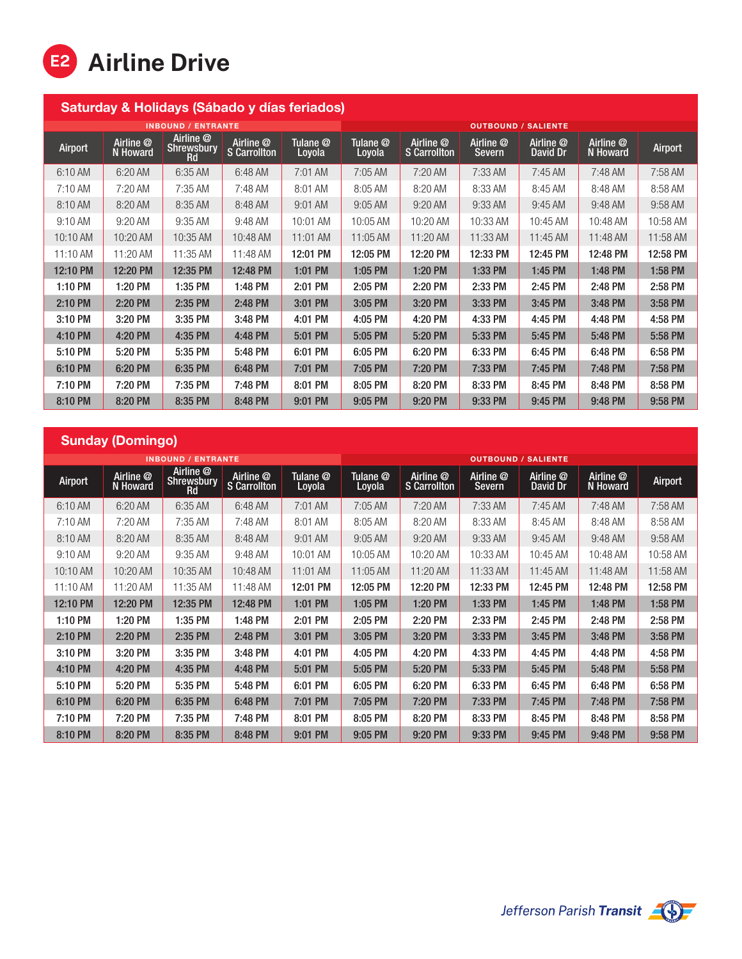

| Saturday & Holidays (Sábado y días feriados) |                                             |                                             |                                  |                    |                            |                                  |                            |                       |                       |           |  |
|----------------------------------------------|---------------------------------------------|---------------------------------------------|----------------------------------|--------------------|----------------------------|----------------------------------|----------------------------|-----------------------|-----------------------|-----------|--|
| <b>INBOUND / ENTRANTE</b>                    |                                             |                                             |                                  |                    | <b>OUTBOUND / SALIENTE</b> |                                  |                            |                       |                       |           |  |
| Airport                                      | Airline <sup><sup>®</sup></sup><br>N Howard | Airline @<br><b>Shrewsbury</b><br><b>Rd</b> | Airline @<br><b>S</b> Carrollton | Tulane @<br>Loyola | Tulane @<br>Loyola         | Airline @<br><b>S</b> Carrollton | Airline @<br><b>Severn</b> | Airline @<br>David Dr | Airline @<br>N Howard | Airport   |  |
| 6:10 AM                                      | 6:20 AM                                     | 6:35 AM                                     | 6:48 AM                          | 7:01 AM            | 7:05 AM                    | 7:20 AM                          | 7:33 AM                    | 7:45 AM               | 7:48 AM               | 7:58 AM   |  |
| 7:10 AM                                      | 7:20 AM                                     | 7:35 AM                                     | 7:48 AM                          | 8:01 AM            | 8:05 AM                    | 8:20 AM                          | 8:33 AM                    | 8:45 AM               | 8:48 AM               | 8:58 AM   |  |
| 8:10 AM                                      | 8:20 AM                                     | 8:35 AM                                     | 8:48 AM                          | $9:01$ AM          | $9:05$ AM                  | $9:20$ AM                        | 9:33 AM                    | $9:45$ AM             | $9:48$ AM             | $9:58$ AM |  |
| $9:10$ AM                                    | 9:20 AM                                     | 9:35 AM                                     | 9:48 AM                          | 10:01 AM           | 10:05 AM                   | 10:20 AM                         | 10:33 AM                   | 10:45 AM              | 10:48 AM              | 10:58 AM  |  |
| 10:10 AM                                     | 10:20 AM                                    | 10:35 AM                                    | 10:48 AM                         | 11:01 AM           | $11:05$ AM                 | 11:20 AM                         | 11:33 AM                   | 11:45 AM              | 11:48 AM              | 11:58 AM  |  |
| 11:10 AM                                     | 11:20 AM                                    | 11:35 AM                                    | 11:48 AM                         | 12:01 PM           | 12:05 PM                   | 12:20 PM                         | 12:33 PM                   | 12:45 PM              | 12:48 PM              | 12:58 PM  |  |
| 12:10 PM                                     | 12:20 PM                                    | 12:35 PM                                    | 12:48 PM                         | 1:01 PM            | 1:05 PM                    | 1:20 PM                          | 1:33 PM                    | 1:45 PM               | 1:48 PM               | 1:58 PM   |  |
| 1:10 PM                                      | 1:20 PM                                     | 1:35 PM                                     | 1:48 PM                          | 2:01 PM            | 2:05 PM                    | 2:20 PM                          | 2:33 PM                    | 2:45 PM               | 2:48 PM               | 2:58 PM   |  |
| 2:10 PM                                      | 2:20 PM                                     | 2:35 PM                                     | 2:48 PM                          | 3:01 PM            | 3:05 PM                    | 3:20 PM                          | 3:33 PM                    | 3:45 PM               | 3:48 PM               | 3:58 PM   |  |
| 3:10 PM                                      | 3:20 PM                                     | 3:35 PM                                     | 3:48 PM                          | 4:01 PM            | 4:05 PM                    | 4:20 PM                          | 4:33 PM                    | 4:45 PM               | 4:48 PM               | 4:58 PM   |  |
| 4:10 PM                                      | 4:20 PM                                     | 4:35 PM                                     | 4:48 PM                          | 5:01 PM            | 5:05 PM                    | 5:20 PM                          | 5:33 PM                    | 5:45 PM               | 5:48 PM               | 5:58 PM   |  |
| 5:10 PM                                      | 5:20 PM                                     | 5:35 PM                                     | 5:48 PM                          | 6:01 PM            | 6:05 PM                    | 6:20 PM                          | 6:33 PM                    | 6:45 PM               | 6:48 PM               | 6:58 PM   |  |
| 6:10 PM                                      | 6:20 PM                                     | 6:35 PM                                     | 6:48 PM                          | 7:01 PM            | 7:05 PM                    | 7:20 PM                          | 7:33 PM                    | 7:45 PM               | 7:48 PM               | 7:58 PM   |  |
| 7:10 PM                                      | 7:20 PM                                     | 7:35 PM                                     | 7:48 PM                          | 8:01 PM            | 8:05 PM                    | 8:20 PM                          | 8:33 PM                    | 8:45 PM               | 8:48 PM               | 8:58 PM   |  |
| 8:10 PM                                      | 8:20 PM                                     | 8:35 PM                                     | 8:48 PM                          | 9:01 PM            | 9:05 PM                    | 9:20 PM                          | 9:33 PM                    | 9:45 PM               | 9:48 PM               | 9:58 PM   |  |

## Sunday (Domingo)

|            |                              | <b>INBOUND / ENTRANTE</b>            |                                                 |                    | <b>OUTBOUND / SALIENTE</b> |                                  |                     |                       |                       |                |  |
|------------|------------------------------|--------------------------------------|-------------------------------------------------|--------------------|----------------------------|----------------------------------|---------------------|-----------------------|-----------------------|----------------|--|
| Airport    | Airline @<br><b>N</b> Howard | Airline @<br><b>Shrewsbury</b><br>Rd | Airline <sup><sup>®</sup></sup><br>S Carrollton | Tulane @<br>Loyola | Tulane @<br>Loyola         | Airline @<br><b>S</b> Carrollton | Airline @<br>Severn | Airline @<br>David Dr | Airline @<br>N Howard | <b>Airport</b> |  |
| 6:10 AM    | 6:20 AM                      | 6:35 AM                              | 6:48 AM                                         | 7:01 AM            | 7:05 AM                    | 7:20 AM                          | 7:33 AM             | 7:45 AM               | 7:48 AM               | 7:58 AM        |  |
| 7:10 AM    | 7:20 AM                      | 7:35 AM                              | 7:48 AM                                         | 8:01 AM            | 8:05 AM                    | 8:20 AM                          | 8:33 AM             | 8:45 AM               | 8:48 AM               | 8:58 AM        |  |
| 8:10 AM    | 8:20 AM                      | 8:35 AM                              | 8:48 AM                                         | $9:01$ AM          | $9:05$ AM                  | 9:20 AM                          | 9:33 AM             | $9:45$ AM             | 9:48 AM               | 9:58 AM        |  |
| $9:10$ AM  | $9:20$ AM                    | 9:35 AM                              | 9:48 AM                                         | 10:01 AM           | 10:05 AM                   | 10:20 AM                         | 10:33 AM            | 10:45 AM              | 10:48 AM              | 10:58 AM       |  |
| 10:10 AM   | 10:20 AM                     | 10:35 AM                             | 10:48 AM                                        | 11:01 AM           | 11:05 AM                   | 11:20 AM                         | 11:33 AM            | 11:45 AM              | 11:48 AM              | 11:58 AM       |  |
| $11:10$ AM | 11:20 AM                     | 11:35 AM                             | 11:48 AM                                        | 12:01 PM           | 12:05 PM                   | 12:20 PM                         | 12:33 PM            | 12:45 PM              | 12:48 PM              | 12:58 PM       |  |
| 12:10 PM   | 12:20 PM                     | 12:35 PM                             | 12:48 PM                                        | 1:01 PM            | 1:05 PM                    | 1:20 PM                          | 1:33 PM             | 1:45 PM               | 1:48 PM               | 1:58 PM        |  |
| 1:10 PM    | 1:20 PM                      | 1:35 PM                              | 1:48 PM                                         | 2:01 PM            | 2:05 PM                    | 2:20 PM                          | 2:33 PM             | 2:45 PM               | 2:48 PM               | 2:58 PM        |  |
| 2:10 PM    | 2:20 PM                      | 2:35 PM                              | 2:48 PM                                         | 3:01 PM            | 3:05 PM                    | 3:20 PM                          | 3:33 PM             | 3:45 PM               | 3:48 PM               | 3:58 PM        |  |
| 3:10 PM    | 3:20 PM                      | 3:35 PM                              | 3:48 PM                                         | 4:01 PM            | 4:05 PM                    | 4:20 PM                          | 4:33 PM             | 4:45 PM               | 4:48 PM               | 4:58 PM        |  |
| 4:10 PM    | 4:20 PM                      | 4:35 PM                              | 4:48 PM                                         | 5:01 PM            | 5:05 PM                    | 5:20 PM                          | 5:33 PM             | 5:45 PM               | 5:48 PM               | 5:58 PM        |  |
| 5:10 PM    | 5:20 PM                      | 5:35 PM                              | 5:48 PM                                         | 6:01 PM            | 6:05 PM                    | 6:20 PM                          | 6:33 PM             | 6:45 PM               | 6:48 PM               | 6:58 PM        |  |
| 6:10 PM    | 6:20 PM                      | 6:35 PM                              | 6:48 PM                                         | 7:01 PM            | 7:05 PM                    | 7:20 PM                          | 7:33 PM             | 7:45 PM               | 7:48 PM               | 7:58 PM        |  |
| 7:10 PM    | 7:20 PM                      | 7:35 PM                              | 7:48 PM                                         | 8:01 PM            | 8:05 PM                    | 8:20 PM                          | 8:33 PM             | 8:45 PM               | 8:48 PM               | 8:58 PM        |  |
| 8:10 PM    | 8:20 PM                      | 8:35 PM                              | 8:48 PM                                         | 9:01 PM            | 9:05 PM                    | 9:20 PM                          | 9:33 PM             | 9:45 PM               | 9:48 PM               | 9:58 PM        |  |